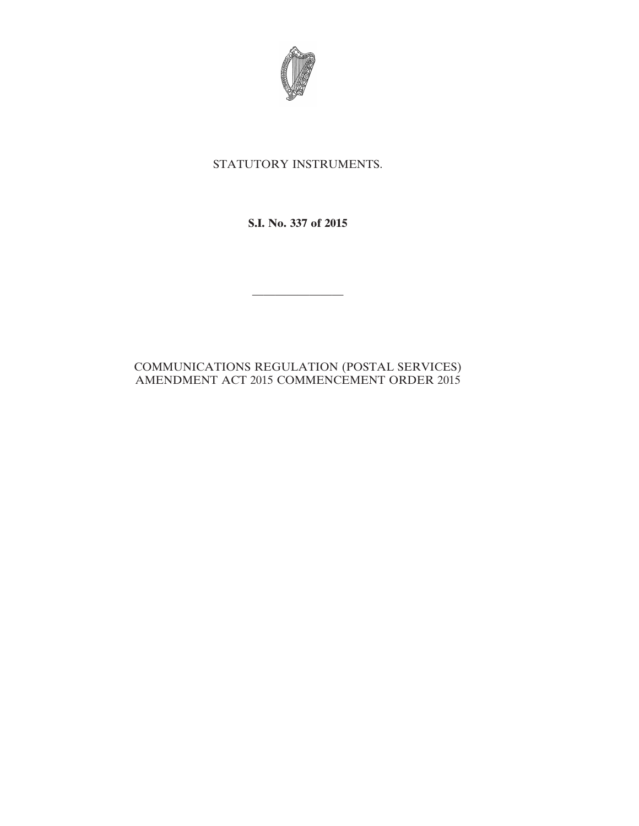

## STATUTORY INSTRUMENTS.

**S.I. No. 337 of 2015**

————————

## COMMUNICATIONS REGULATION (POSTAL SERVICES) AMENDMENT ACT 2015 COMMENCEMENT ORDER 2015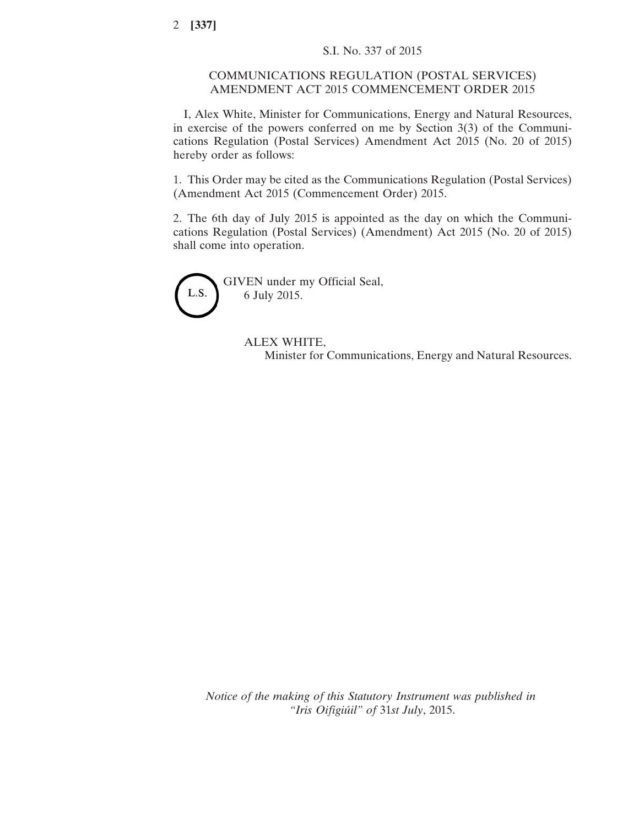## COMMUNICATIONS REGULATION (POSTAL SERVICES) AMENDMENT ACT 2015 COMMENCEMENT ORDER 2015

I, Alex White, Minister for Communications, Energy and Natural Resources, in exercise of the powers conferred on me by Section 3(3) of the Communications Regulation (Postal Services) Amendment Act 2015 (No. 20 of 2015) hereby order as follows:

1. This Order may be cited as the Communications Regulation (Postal Services) (Amendment Act 2015 (Commencement Order) 2015.

2. The 6th day of July 2015 is appointed as the day on which the Communications Regulation (Postal Services) (Amendment) Act 2015 (No. 20 of 2015) shall come into operation.



## ALEX WHITE, Minister for Communications, Energy and Natural Resources.

*Notice of the making of this Statutory Instrument was published in "Iris Oifigiúil" of* 31*st July*, 2015.